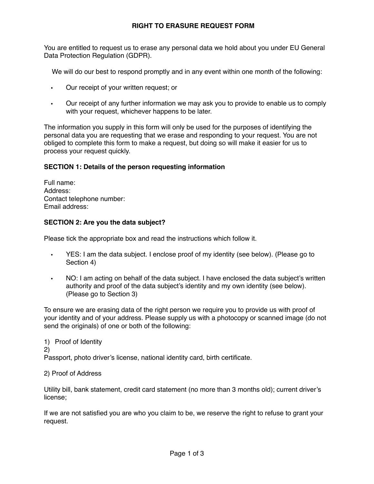# **RIGHT TO ERASURE REQUEST FORM**

You are entitled to request us to erase any personal data we hold about you under EU General Data Protection Regulation (GDPR).

We will do our best to respond promptly and in any event within one month of the following:

- Our receipt of your written request; or
- Our receipt of any further information we may ask you to provide to enable us to comply with your request, whichever happens to be later.

The information you supply in this form will only be used for the purposes of identifying the personal data you are requesting that we erase and responding to your request. You are not obliged to complete this form to make a request, but doing so will make it easier for us to process your request quickly.

# **SECTION 1: Details of the person requesting information**

Full name: Address: Contact telephone number: Email address:

### **SECTION 2: Are you the data subject?**

Please tick the appropriate box and read the instructions which follow it.

- YES: I am the data subject. I enclose proof of my identity (see below). (Please go to Section 4)
- NO: I am acting on behalf of the data subject. I have enclosed the data subject's written authority and proof of the data subject's identity and my own identity (see below). (Please go to Section 3)

To ensure we are erasing data of the right person we require you to provide us with proof of your identity and of your address. Please supply us with a photocopy or scanned image (do not send the originals) of one or both of the following:

1) Proof of Identity 2) Passport, photo driver's license, national identity card, birth certificate.

#### 2) Proof of Address

Utility bill, bank statement, credit card statement (no more than 3 months old); current driver's license;

If we are not satisfied you are who you claim to be, we reserve the right to refuse to grant your request.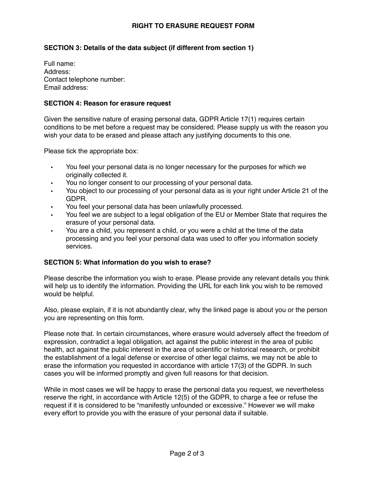## **RIGHT TO ERASURE REQUEST FORM**

# **SECTION 3: Details of the data subject (if different from section 1)**

Full name: Address: Contact telephone number: Email address:

#### **SECTION 4: Reason for erasure request**

Given the sensitive nature of erasing personal data, GDPR Article 17(1) requires certain conditions to be met before a request may be considered. Please supply us with the reason you wish your data to be erased and please attach any justifying documents to this one.

Please tick the appropriate box:

- You feel your personal data is no longer necessary for the purposes for which we originally collected it.
- You no longer consent to our processing of your personal data.
- You object to our processing of your personal data as is your right under Article 21 of the GDPR.
- You feel your personal data has been unlawfully processed.
- You feel we are subject to a legal obligation of the EU or Member State that requires the erasure of your personal data.
- You are a child, you represent a child, or you were a child at the time of the data processing and you feel your personal data was used to offer you information society services.

### **SECTION 5: What information do you wish to erase?**

Please describe the information you wish to erase. Please provide any relevant details you think will help us to identify the information. Providing the URL for each link you wish to be removed would be helpful.

Also, please explain, if it is not abundantly clear, why the linked page is about you or the person you are representing on this form.

Please note that. In certain circumstances, where erasure would adversely affect the freedom of expression, contradict a legal obligation, act against the public interest in the area of public health, act against the public interest in the area of scientific or historical research, or prohibit the establishment of a legal defense or exercise of other legal claims, we may not be able to erase the information you requested in accordance with article 17(3) of the GDPR. In such cases you will be informed promptly and given full reasons for that decision.

While in most cases we will be happy to erase the personal data you request, we nevertheless reserve the right, in accordance with Article 12(5) of the GDPR, to charge a fee or refuse the request if it is considered to be "manifestly unfounded or excessive." However we will make every effort to provide you with the erasure of your personal data if suitable.